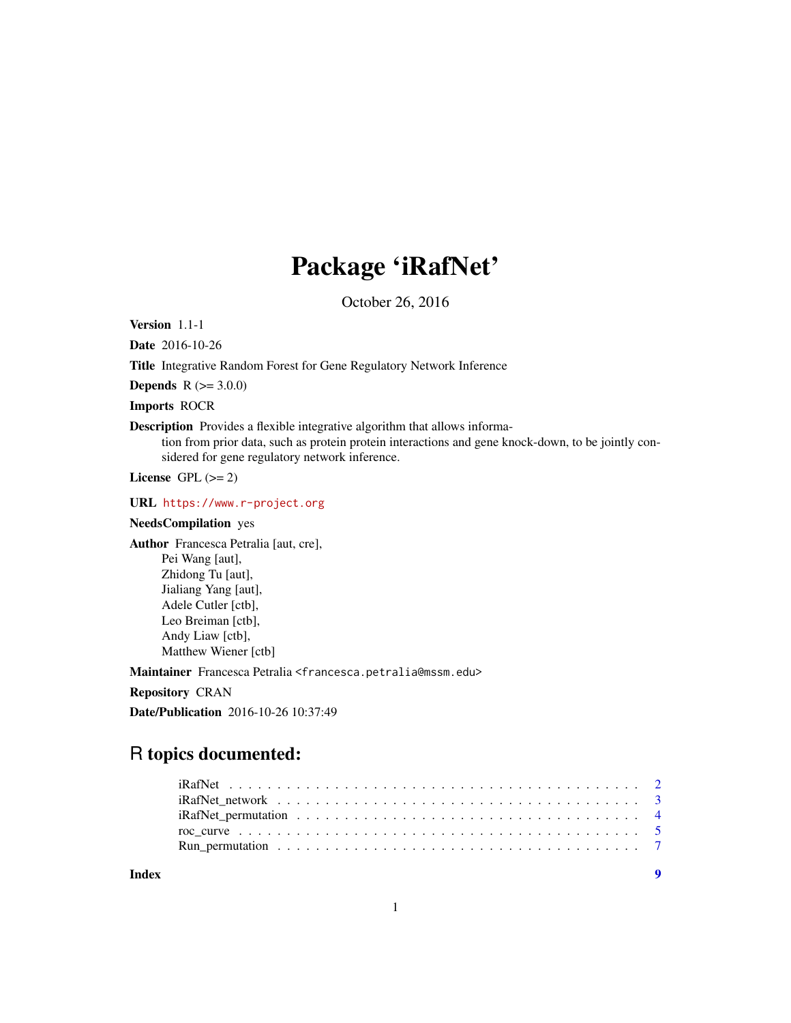## Package 'iRafNet'

October 26, 2016

Version 1.1-1

Date 2016-10-26

Title Integrative Random Forest for Gene Regulatory Network Inference

**Depends** R  $(>= 3.0.0)$ 

Imports ROCR

Description Provides a flexible integrative algorithm that allows information from prior data, such as protein protein interactions and gene knock-down, to be jointly considered for gene regulatory network inference.

License GPL  $(>= 2)$ 

URL <https://www.r-project.org>

#### NeedsCompilation yes

Author Francesca Petralia [aut, cre], Pei Wang [aut], Zhidong Tu [aut], Jialiang Yang [aut], Adele Cutler [ctb], Leo Breiman [ctb], Andy Liaw [ctb], Matthew Wiener [ctb]

Maintainer Francesca Petralia <francesca.petralia@mssm.edu>

Repository CRAN

Date/Publication 2016-10-26 10:37:49

### R topics documented:

**Index** [9](#page-8-0)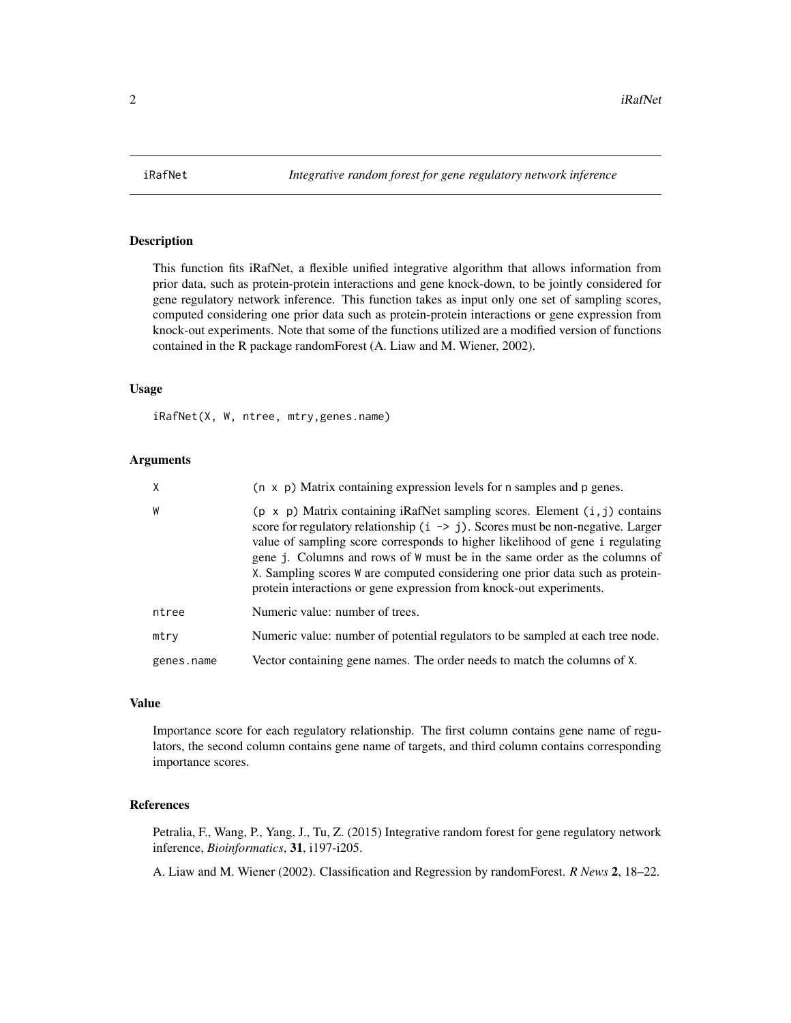<span id="page-1-0"></span>

#### **Description**

This function fits iRafNet, a flexible unified integrative algorithm that allows information from prior data, such as protein-protein interactions and gene knock-down, to be jointly considered for gene regulatory network inference. This function takes as input only one set of sampling scores, computed considering one prior data such as protein-protein interactions or gene expression from knock-out experiments. Note that some of the functions utilized are a modified version of functions contained in the R package randomForest (A. Liaw and M. Wiener, 2002).

#### Usage

iRafNet(X, W, ntree, mtry,genes.name)

#### Arguments

| X          | $(n \times p)$ Matrix containing expression levels for n samples and p genes.                                                                                                                                                                                                                                                                                                                                                                                                                            |
|------------|----------------------------------------------------------------------------------------------------------------------------------------------------------------------------------------------------------------------------------------------------------------------------------------------------------------------------------------------------------------------------------------------------------------------------------------------------------------------------------------------------------|
| W          | $(p \times p)$ Matrix containing iRafNet sampling scores. Element $(i, j)$ contains<br>score for regulatory relationship $(i \rightarrow j)$ . Scores must be non-negative. Larger<br>value of sampling score corresponds to higher likelihood of gene i regulating<br>gene j. Columns and rows of W must be in the same order as the columns of<br>X. Sampling scores W are computed considering one prior data such as protein-<br>protein interactions or gene expression from knock-out experiments. |
| ntree      | Numeric value: number of trees.                                                                                                                                                                                                                                                                                                                                                                                                                                                                          |
| mtry       | Numeric value: number of potential regulators to be sampled at each tree node.                                                                                                                                                                                                                                                                                                                                                                                                                           |
| genes.name | Vector containing gene names. The order needs to match the columns of X.                                                                                                                                                                                                                                                                                                                                                                                                                                 |

#### Value

Importance score for each regulatory relationship. The first column contains gene name of regulators, the second column contains gene name of targets, and third column contains corresponding importance scores.

#### References

Petralia, F., Wang, P., Yang, J., Tu, Z. (2015) Integrative random forest for gene regulatory network inference, *Bioinformatics*, 31, i197-i205.

A. Liaw and M. Wiener (2002). Classification and Regression by randomForest. *R News* 2, 18–22.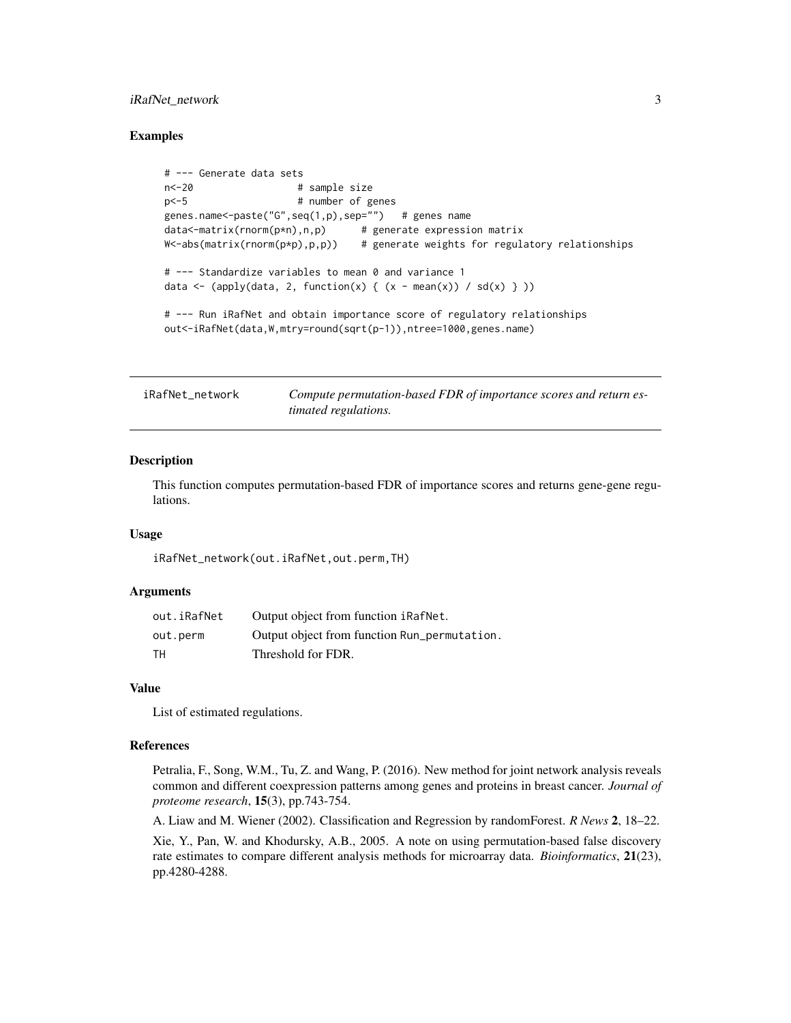#### <span id="page-2-0"></span>iRafNet\_network 3

#### Examples

```
# --- Generate data sets
n<-20 # sample size
p<-5 # number of genes
genes.name<-paste("G",seq(1,p),sep="") # genes name
data<-matrix(rnorm(p*n),n,p) # generate expression matrix
W<-abs(matrix(rnorm(p*p),p,p)) # generate weights for regulatory relationships
# --- Standardize variables to mean 0 and variance 1
data <- (apply(data, 2, function(x) { (x - mean(x)) / sd(x) } ))
# --- Run iRafNet and obtain importance score of regulatory relationships
out<-iRafNet(data,W,mtry=round(sqrt(p-1)),ntree=1000,genes.name)
```
iRafNet\_network *Compute permutation-based FDR of importance scores and return estimated regulations.*

#### Description

This function computes permutation-based FDR of importance scores and returns gene-gene regulations.

#### Usage

iRafNet\_network(out.iRafNet,out.perm,TH)

#### Arguments

| out.iRafNet | Output object from function iRafNet.         |
|-------------|----------------------------------------------|
| out.perm    | Output object from function Run_permutation. |
| TН          | Threshold for FDR.                           |

#### Value

List of estimated regulations.

#### References

Petralia, F., Song, W.M., Tu, Z. and Wang, P. (2016). New method for joint network analysis reveals common and different coexpression patterns among genes and proteins in breast cancer. *Journal of proteome research*, 15(3), pp.743-754.

A. Liaw and M. Wiener (2002). Classification and Regression by randomForest. *R News* 2, 18–22.

Xie, Y., Pan, W. and Khodursky, A.B., 2005. A note on using permutation-based false discovery rate estimates to compare different analysis methods for microarray data. *Bioinformatics*, 21(23), pp.4280-4288.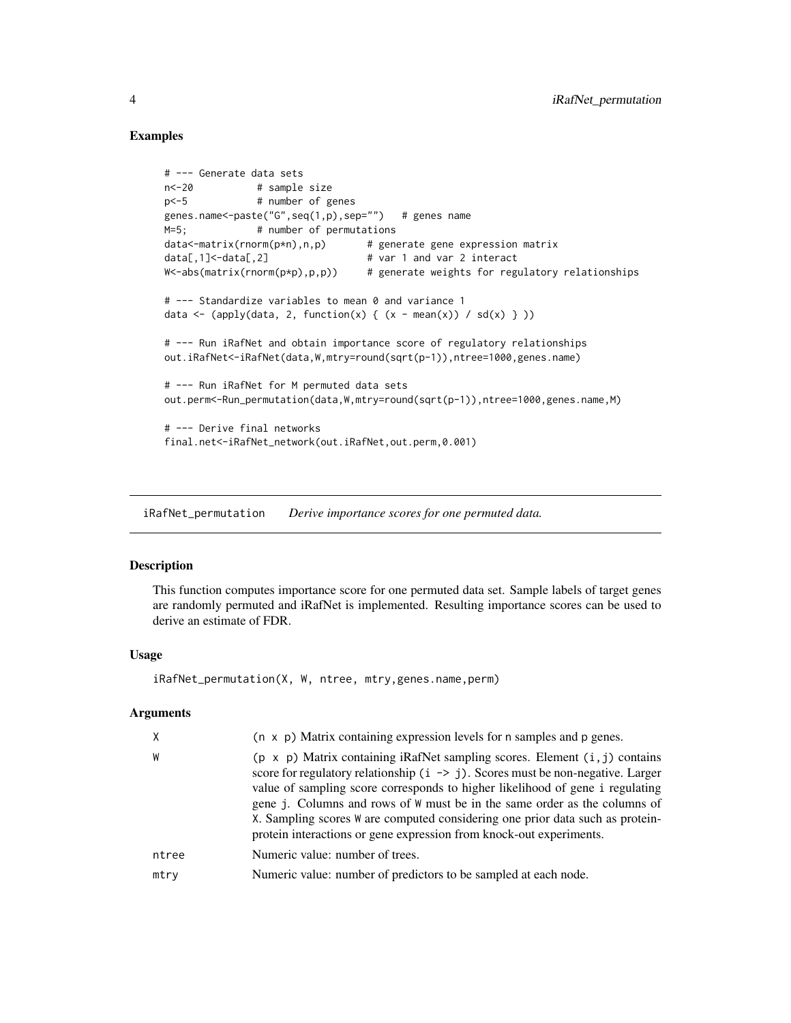#### Examples

```
# --- Generate data sets
n<-20 # sample size
p<-5 # number of genes
genes.name<-paste("G",seq(1,p),sep="") # genes name
M=5; # number of permutations
data<-matrix(rnorm(p*n),n,p) # generate gene expression matrix
data[,1]<-data[,2] \qquad \qquad \qquad \qquad # var 1 and var 2 interact
W<-abs(matrix(rnorm(p*p),p,p)) # generate weights for regulatory relationships
# --- Standardize variables to mean 0 and variance 1
data <- (apply(data, 2, function(x) { (x - mean(x)) / sd(x) } ))
# --- Run iRafNet and obtain importance score of regulatory relationships
out.iRafNet<-iRafNet(data,W,mtry=round(sqrt(p-1)),ntree=1000,genes.name)
# --- Run iRafNet for M permuted data sets
out.perm<-Run_permutation(data,W,mtry=round(sqrt(p-1)),ntree=1000,genes.name,M)
# --- Derive final networks
final.net<-iRafNet_network(out.iRafNet,out.perm,0.001)
```
iRafNet\_permutation *Derive importance scores for one permuted data.*

#### **Description**

This function computes importance score for one permuted data set. Sample labels of target genes are randomly permuted and iRafNet is implemented. Resulting importance scores can be used to derive an estimate of FDR.

#### Usage

iRafNet\_permutation(X, W, ntree, mtry,genes.name,perm)

#### **Arguments**

| X     | $(n \times p)$ Matrix containing expression levels for n samples and p genes.                                                                                                                                                                                                                                                                                                                                                                                                                            |
|-------|----------------------------------------------------------------------------------------------------------------------------------------------------------------------------------------------------------------------------------------------------------------------------------------------------------------------------------------------------------------------------------------------------------------------------------------------------------------------------------------------------------|
|       |                                                                                                                                                                                                                                                                                                                                                                                                                                                                                                          |
| W     | $(p \times p)$ Matrix containing iRafNet sampling scores. Element $(i, j)$ contains<br>score for regulatory relationship $(i \rightarrow j)$ . Scores must be non-negative. Larger<br>value of sampling score corresponds to higher likelihood of gene i regulating<br>gene j. Columns and rows of W must be in the same order as the columns of<br>X. Sampling scores W are computed considering one prior data such as protein-<br>protein interactions or gene expression from knock-out experiments. |
| ntree | Numeric value: number of trees.                                                                                                                                                                                                                                                                                                                                                                                                                                                                          |
| mtry  | Numeric value: number of predictors to be sampled at each node.                                                                                                                                                                                                                                                                                                                                                                                                                                          |
|       |                                                                                                                                                                                                                                                                                                                                                                                                                                                                                                          |

<span id="page-3-0"></span>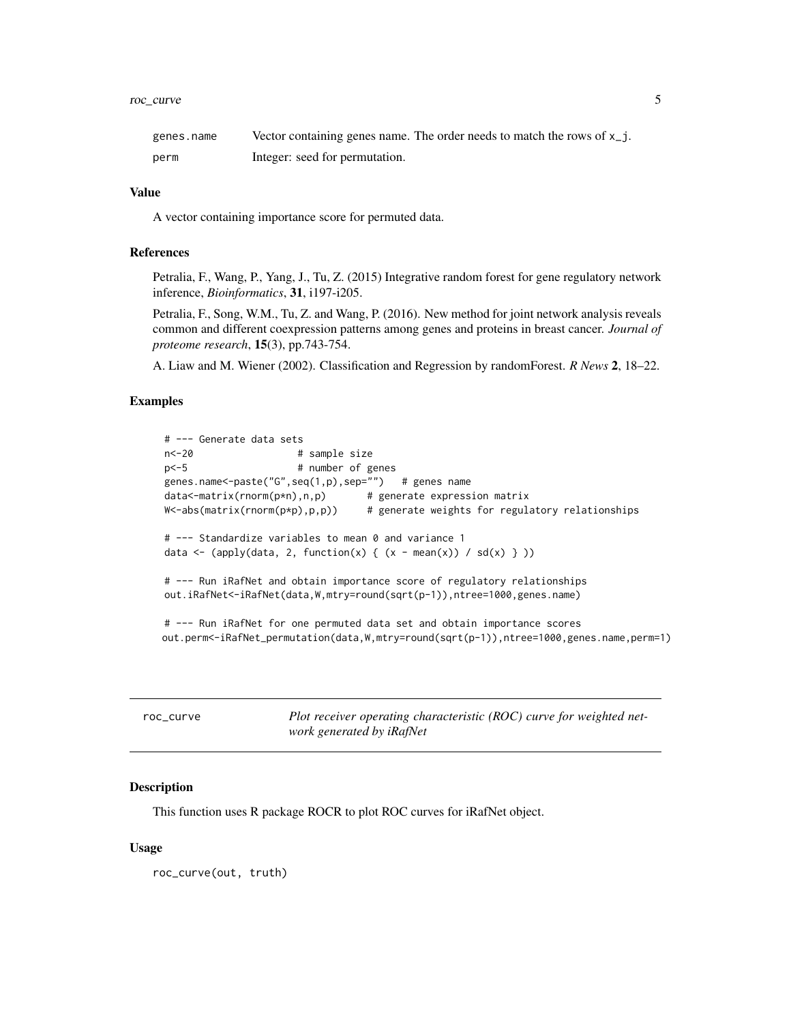#### <span id="page-4-0"></span>roc\_curve 5

| genes.name | Vector containing genes name. The order needs to match the rows of $x_{j}$ . |
|------------|------------------------------------------------------------------------------|
| perm       | Integer: seed for permutation.                                               |

#### Value

A vector containing importance score for permuted data.

#### References

Petralia, F., Wang, P., Yang, J., Tu, Z. (2015) Integrative random forest for gene regulatory network inference, *Bioinformatics*, 31, i197-i205.

Petralia, F., Song, W.M., Tu, Z. and Wang, P. (2016). New method for joint network analysis reveals common and different coexpression patterns among genes and proteins in breast cancer. *Journal of proteome research*, 15(3), pp.743-754.

A. Liaw and M. Wiener (2002). Classification and Regression by randomForest. *R News* 2, 18–22.

#### Examples

```
# --- Generate data sets
n<-20 # sample size
p<-5 # number of genes
genes.name<-paste("G",seq(1,p),sep="") # genes name
data<-matrix(rnorm(p*n),n,p) # generate expression matrix
W<-abs(matrix(rnorm(p*p),p,p)) # generate weights for regulatory relationships
# --- Standardize variables to mean 0 and variance 1
data <- (apply(data, 2, function(x) { (x - mean(x)) / sd(x) } ))
# --- Run iRafNet and obtain importance score of regulatory relationships
out.iRafNet<-iRafNet(data,W,mtry=round(sqrt(p-1)),ntree=1000,genes.name)
# --- Run iRafNet for one permuted data set and obtain importance scores
```
out.perm<-iRafNet\_permutation(data,W,mtry=round(sqrt(p-1)),ntree=1000,genes.name,perm=1)

| roc curve | Plot receiver operating characteristic (ROC) curve for weighted net- |
|-----------|----------------------------------------------------------------------|
|           | work generated by iRafNet                                            |

#### Description

This function uses R package ROCR to plot ROC curves for iRafNet object.

#### Usage

roc\_curve(out, truth)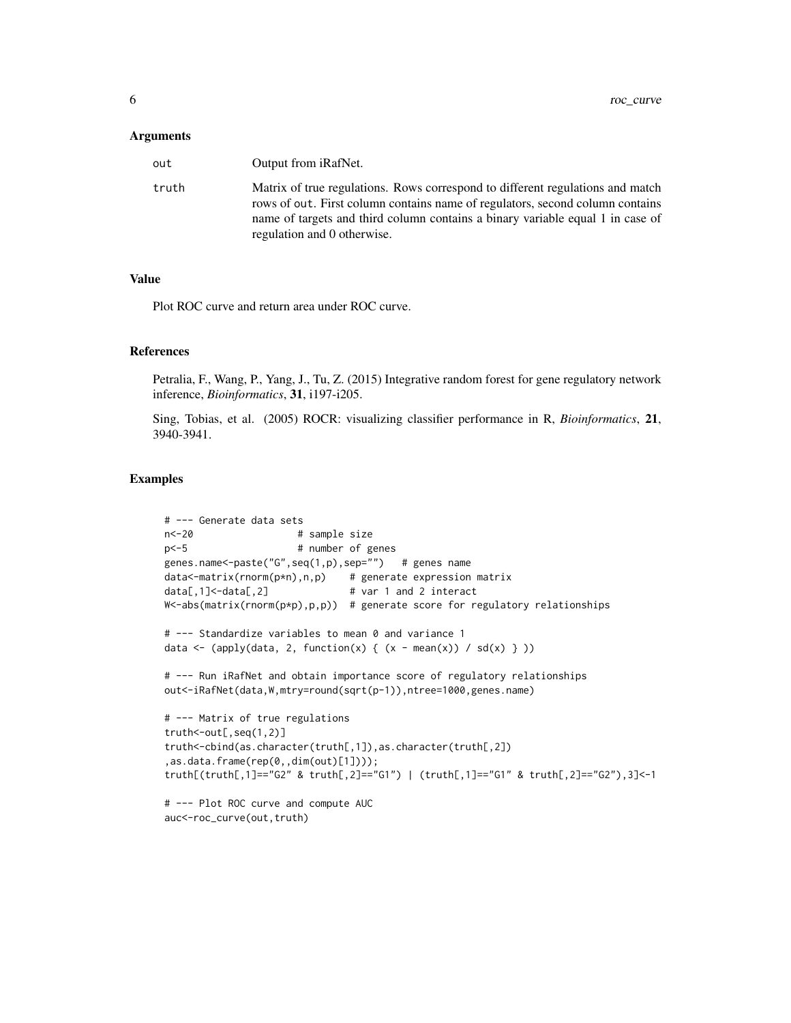#### **Arguments**

| out   | Output from <i>iRafNet</i> .                                                                                                                                                                                                                                                     |
|-------|----------------------------------------------------------------------------------------------------------------------------------------------------------------------------------------------------------------------------------------------------------------------------------|
| truth | Matrix of true regulations. Rows correspond to different regulations and match<br>rows of out. First column contains name of regulators, second column contains<br>name of targets and third column contains a binary variable equal 1 in case of<br>regulation and 0 otherwise. |

#### Value

Plot ROC curve and return area under ROC curve.

#### References

Petralia, F., Wang, P., Yang, J., Tu, Z. (2015) Integrative random forest for gene regulatory network inference, *Bioinformatics*, 31, i197-i205.

Sing, Tobias, et al. (2005) ROCR: visualizing classifier performance in R, *Bioinformatics*, 21, 3940-3941.

#### Examples

```
# --- Generate data sets
n<-20 # sample size
p<-5 # number of genes
genes.name<-paste("G",seq(1,p),sep="") # genes name
data<-matrix(rnorm(p*n),n,p) # generate expression matrix
data[,1]<-data[,2] # var 1 and 2 interact
W<-abs(matrix(rmp)p,p,p) # generate score for regulatory relationships
# --- Standardize variables to mean 0 and variance 1
data <- (apply(data, 2, function(x) { (x - mean(x)) / sd(x) } ))
# --- Run iRafNet and obtain importance score of regulatory relationships
out<-iRafNet(data,W,mtry=round(sqrt(p-1)),ntree=1000,genes.name)
# --- Matrix of true regulations
truth<-out[,seq(1,2)]
truth<-cbind(as.character(truth[,1]),as.character(truth[,2])
,as.data.frame(rep(0,,dim(out)[1])));
truth[(truth[,1]=="G2" & truth[,2]=="G1") | (truth[,1]=="G1" & truth[,2]=="G2"),3]<-1
# --- Plot ROC curve and compute AUC
auc<-roc_curve(out,truth)
```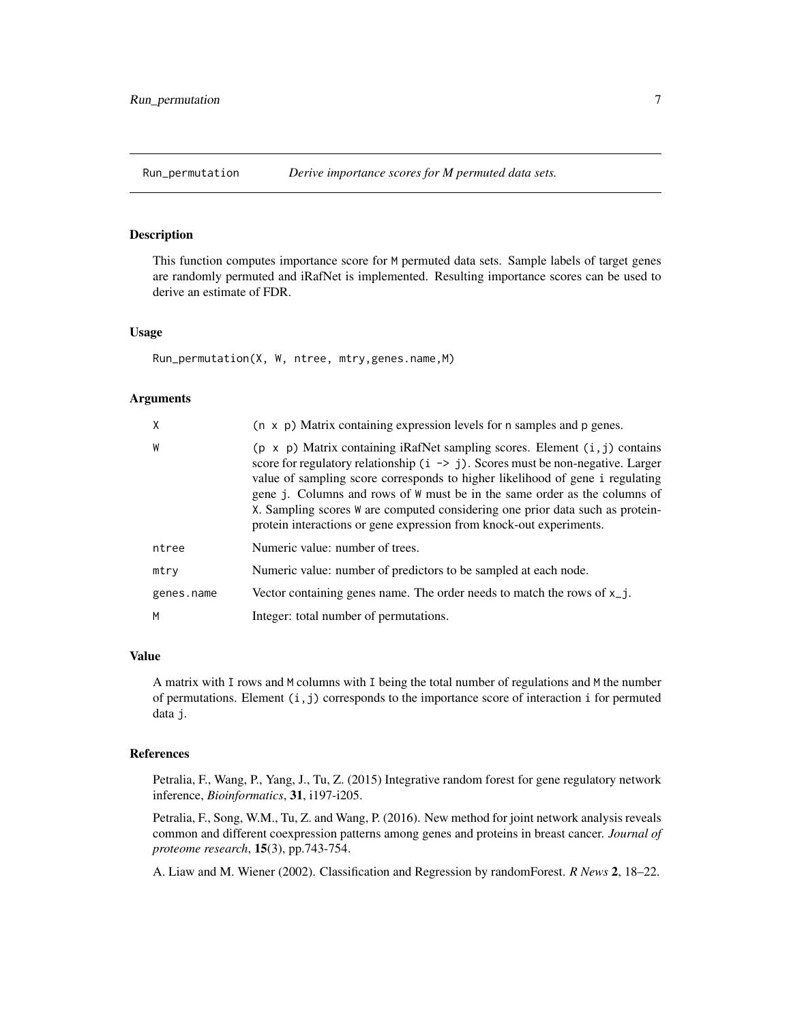<span id="page-6-0"></span>

#### Description

This function computes importance score for M permuted data sets. Sample labels of target genes are randomly permuted and iRafNet is implemented. Resulting importance scores can be used to derive an estimate of FDR.

#### Usage

```
Run_permutation(X, W, ntree, mtry,genes.name,M)
```
#### Arguments

| χ          | $(n \times p)$ Matrix containing expression levels for n samples and p genes.                                                                                                                                                                                                                                                                                                                                                                                                                            |
|------------|----------------------------------------------------------------------------------------------------------------------------------------------------------------------------------------------------------------------------------------------------------------------------------------------------------------------------------------------------------------------------------------------------------------------------------------------------------------------------------------------------------|
| W          | $(p \times p)$ Matrix containing iRafNet sampling scores. Element $(i, j)$ contains<br>score for regulatory relationship $(i \rightarrow j)$ . Scores must be non-negative. Larger<br>value of sampling score corresponds to higher likelihood of gene i regulating<br>gene j. Columns and rows of W must be in the same order as the columns of<br>X. Sampling scores W are computed considering one prior data such as protein-<br>protein interactions or gene expression from knock-out experiments. |
| ntree      | Numeric value: number of trees.                                                                                                                                                                                                                                                                                                                                                                                                                                                                          |
| mtry       | Numeric value: number of predictors to be sampled at each node.                                                                                                                                                                                                                                                                                                                                                                                                                                          |
| genes.name | Vector containing genes name. The order needs to match the rows of $x_{j}$ .                                                                                                                                                                                                                                                                                                                                                                                                                             |
| М          | Integer: total number of permutations.                                                                                                                                                                                                                                                                                                                                                                                                                                                                   |

#### Value

A matrix with I rows and M columns with I being the total number of regulations and M the number of permutations. Element  $(i, j)$  corresponds to the importance score of interaction i for permuted data j.

#### References

Petralia, F., Wang, P., Yang, J., Tu, Z. (2015) Integrative random forest for gene regulatory network inference, *Bioinformatics*, 31, i197-i205.

Petralia, F., Song, W.M., Tu, Z. and Wang, P. (2016). New method for joint network analysis reveals common and different coexpression patterns among genes and proteins in breast cancer. *Journal of proteome research*, 15(3), pp.743-754.

A. Liaw and M. Wiener (2002). Classification and Regression by randomForest. *R News* 2, 18–22.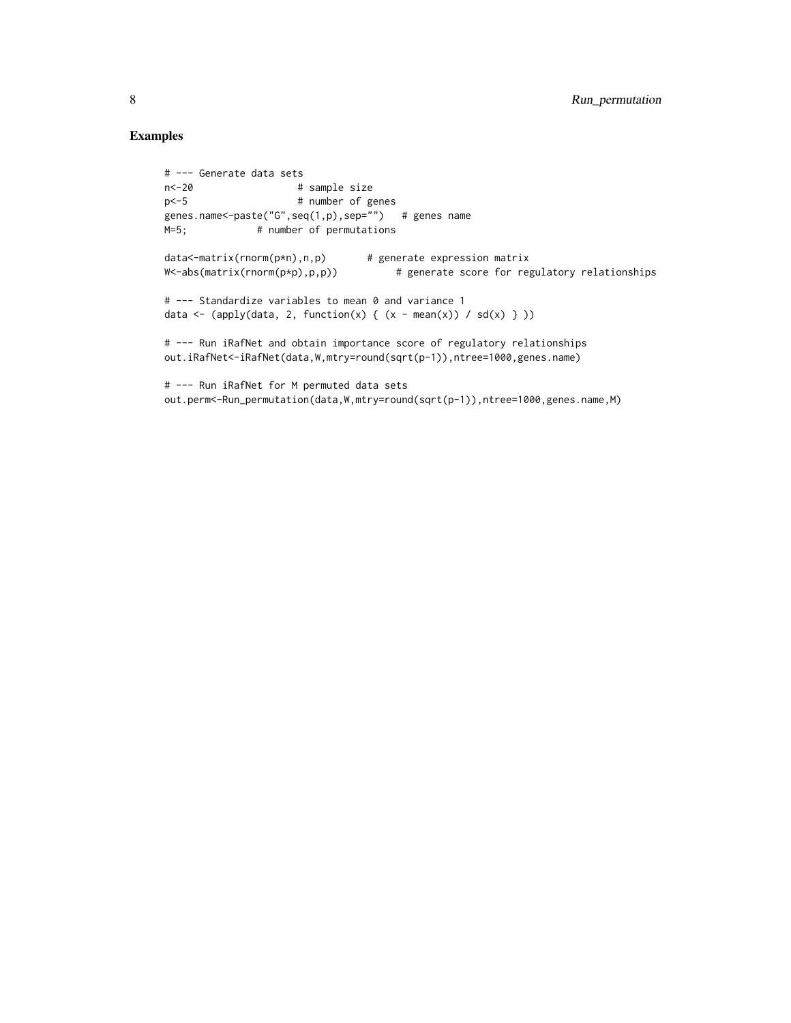#### Examples

```
# --- Generate data sets
n<-20 # sample size
p<-5 # number of genes
genes.name<-paste("G",seq(1,p),sep="") # genes name
M=5; # number of permutations
data<-matrix(rnorm(p*n),n,p) # generate expression matrix
W<-abs(matrix(rnorm(p*p),p,p)) # generate score for regulatory relationships
# --- Standardize variables to mean 0 and variance 1
data \leftarrow (apply(data, 2, function(x) { (x - mean(x)) / sd(x) } ))
# --- Run iRafNet and obtain importance score of regulatory relationships
out.iRafNet<-iRafNet(data,W,mtry=round(sqrt(p-1)),ntree=1000,genes.name)
# --- Run iRafNet for M permuted data sets
out.perm<-Run_permutation(data,W,mtry=round(sqrt(p-1)),ntree=1000,genes.name,M)
```